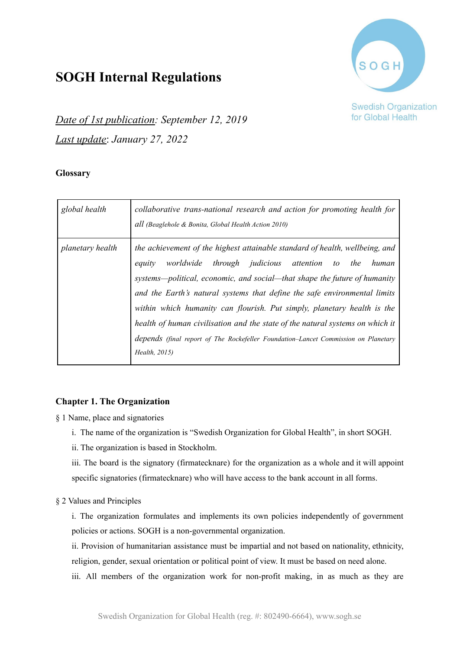# **SOGH Internal Regulations**



**Swedish Organization** for Global Health

*Date of 1st publication: September 12, 2019 Last update*: *January 27, 2022*

# **Glossary**

| global health    | collaborative trans-national research and action for promoting health for<br>all (Beaglehole & Bonita, Global Health Action 2010)                                                                                                                                                                                                                                                                                                                                                                                                                                         |
|------------------|---------------------------------------------------------------------------------------------------------------------------------------------------------------------------------------------------------------------------------------------------------------------------------------------------------------------------------------------------------------------------------------------------------------------------------------------------------------------------------------------------------------------------------------------------------------------------|
| planetary health | the achievement of the highest attainable standard of health, wellbeing, and<br>worldwide through judicious attention to the human<br>equity<br>systems-political, economic, and social-that shape the future of humanity<br>and the Earth's natural systems that define the safe environmental limits<br>within which humanity can flourish. Put simply, planetary health is the<br>health of human civilisation and the state of the natural systems on which it<br>depends (final report of The Rockefeller Foundation-Lancet Commission on Planetary<br>Health, 2015) |

# **Chapter 1. The Organization**

§ 1 Name, place and signatories

- i. The name of the organization is "Swedish Organization for Global Health", in short SOGH.
- ii. The organization is based in Stockholm.

iii. The board is the signatory (firmatecknare) for the organization as a whole and it will appoint specific signatories (firmatecknare) who will have access to the bank account in all forms.

# § 2 Values and Principles

i. The organization formulates and implements its own policies independently of government policies or actions. SOGH is a non-governmental organization.

ii. Provision of humanitarian assistance must be impartial and not based on nationality, ethnicity, religion, gender, sexual orientation or political point of view. It must be based on need alone.

iii. All members of the organization work for non-profit making, in as much as they are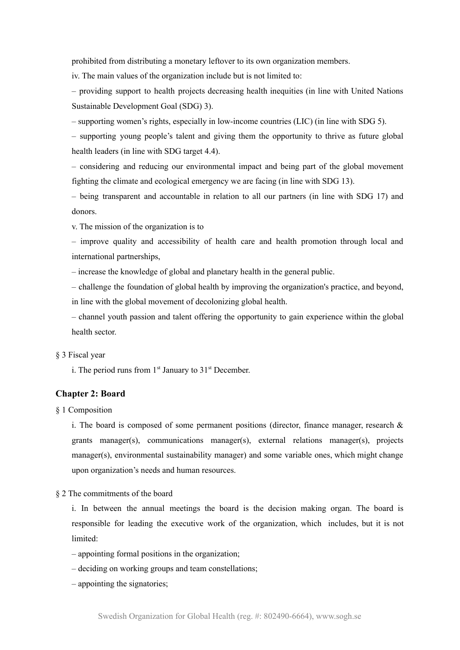prohibited from distributing a monetary leftover to its own organization members.

iv. The main values of the organization include but is not limited to:

– providing support to health projects decreasing health inequities (in line with United Nations Sustainable Development Goal (SDG) 3).

– supporting women's rights, especially in low-income countries (LIC) (in line with SDG 5).

– supporting young people's talent and giving them the opportunity to thrive as future global health leaders (in line with SDG target 4.4).

– considering and reducing our environmental impact and being part of the global movement fighting the climate and ecological emergency we are facing (in line with SDG 13).

– being transparent and accountable in relation to all our partners (in line with SDG 17) and donors.

v. The mission of the organization is to

– improve quality and accessibility of health care and health promotion through local and international partnerships,

– increase the knowledge of global and planetary health in the general public.

– challenge the foundation of global health by improving the organization's practice, and beyond, in line with the global movement of decolonizing global health.

– channel youth passion and talent offering the opportunity to gain experience within the global health sector.

#### § 3 Fiscal year

i. The period runs from  $1<sup>st</sup>$  January to  $31<sup>st</sup>$  December.

## **Chapter 2: Board**

§ 1 Composition

i. The board is composed of some permanent positions (director, finance manager, research  $\&$ grants manager(s), communications manager(s), external relations manager(s), projects manager(s), environmental sustainability manager) and some variable ones, which might change upon organization's needs and human resources.

§ 2 The commitments of the board

i. In between the annual meetings the board is the decision making organ. The board is responsible for leading the executive work of the organization, which includes, but it is not limited:

– appointing formal positions in the organization;

– deciding on working groups and team constellations;

– appointing the signatories;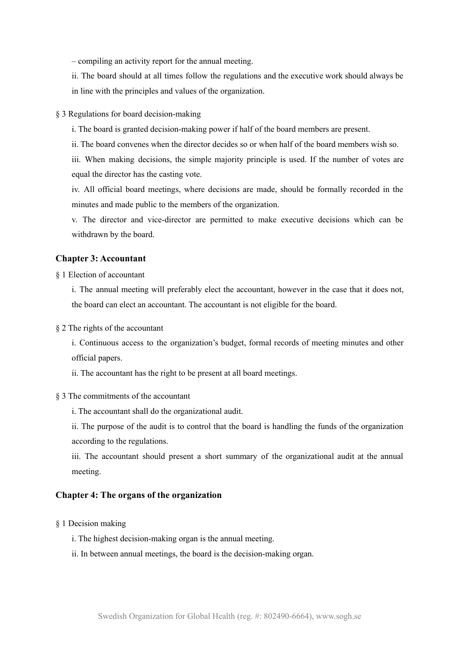– compiling an activity report for the annual meeting.

ii. The board should at all times follow the regulations and the executive work should always be in line with the principles and values of the organization.

#### § 3 Regulations for board decision-making

i. The board is granted decision-making power if half of the board members are present.

ii. The board convenes when the director decides so or when half of the board members wish so.

iii. When making decisions, the simple majority principle is used. If the number of votes are equal the director has the casting vote.

iv. All official board meetings, where decisions are made, should be formally recorded in the minutes and made public to the members of the organization.

v. The director and vice-director are permitted to make executive decisions which can be withdrawn by the board.

## **Chapter 3: Accountant**

§ 1 Election of accountant

i. The annual meeting will preferably elect the accountant, however in the case that it does not, the board can elect an accountant. The accountant is not eligible for the board.

§ 2 The rights of the accountant

i. Continuous access to the organization's budget, formal records of meeting minutes and other official papers.

ii. The accountant has the right to be present at all board meetings.

#### § 3 The commitments of the accountant

i. The accountant shall do the organizational audit.

ii. The purpose of the audit is to control that the board is handling the funds of the organization according to the regulations.

iii. The accountant should present a short summary of the organizational audit at the annual meeting.

#### **Chapter 4: The organs of the organization**

- § 1 Decision making
	- i. The highest decision-making organ is the annual meeting.
	- ii. In between annual meetings, the board is the decision-making organ.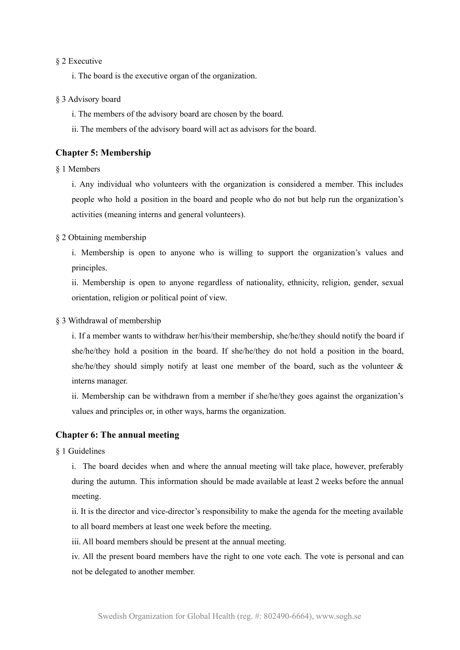#### § 2 Executive

i. The board is the executive organ of the organization.

#### § 3 Advisory board

i. The members of the advisory board are chosen by the board.

ii. The members of the advisory board will act as advisors for the board.

## **Chapter 5: Membership**

§ 1 Members

i. Any individual who volunteers with the organization is considered a member. This includes people who hold a position in the board and people who do not but help run the organization's activities (meaning interns and general volunteers).

#### § 2 Obtaining membership

i. Membership is open to anyone who is willing to support the organization's values and principles.

ii. Membership is open to anyone regardless of nationality, ethnicity, religion, gender, sexual orientation, religion or political point of view.

#### § 3 Withdrawal of membership

i. If a member wants to withdraw her/his/their membership, she/he/they should notify the board if she/he/they hold a position in the board. If she/he/they do not hold a position in the board, she/he/they should simply notify at least one member of the board, such as the volunteer  $\&$ interns manager.

ii. Membership can be withdrawn from a member if she/he/they goes against the organization's values and principles or, in other ways, harms the organization.

# **Chapter 6: The annual meeting**

§ 1 Guidelines

i. The board decides when and where the annual meeting will take place, however, preferably during the autumn. This information should be made available at least 2 weeks before the annual meeting.

ii. It is the director and vice-director's responsibility to make the agenda for the meeting available to all board members at least one week before the meeting.

iii. All board members should be present at the annual meeting.

iv. All the present board members have the right to one vote each. The vote is personal and can not be delegated to another member.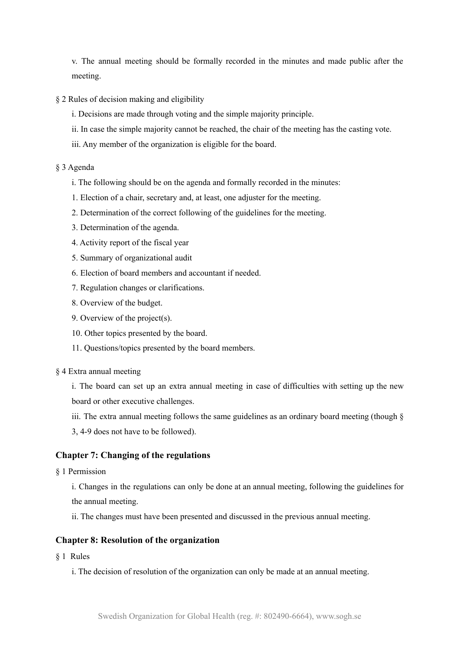v. The annual meeting should be formally recorded in the minutes and made public after the meeting.

- § 2 Rules of decision making and eligibility
	- i. Decisions are made through voting and the simple majority principle.
	- ii. In case the simple majority cannot be reached, the chair of the meeting has the casting vote.
	- iii. Any member of the organization is eligible for the board.

# § 3 Agenda

- i. The following should be on the agenda and formally recorded in the minutes:
- 1. Election of a chair, secretary and, at least, one adjuster for the meeting.
- 2. Determination of the correct following of the guidelines for the meeting.
- 3. Determination of the agenda.
- 4. Activity report of the fiscal year
- 5. Summary of organizational audit
- 6. Election of board members and accountant if needed.
- 7. Regulation changes or clarifications.
- 8. Overview of the budget.
- 9. Overview of the project(s).
- 10. Other topics presented by the board.
- 11. Questions/topics presented by the board members.

#### § 4 Extra annual meeting

i. The board can set up an extra annual meeting in case of difficulties with setting up the new board or other executive challenges.

- iii. The extra annual meeting follows the same guidelines as an ordinary board meeting (though  $\S$
- 3, 4-9 does not have to be followed).

# **Chapter 7: Changing of the regulations**

§ 1 Permission

i. Changes in the regulations can only be done at an annual meeting, following the guidelines for the annual meeting.

ii. The changes must have been presented and discussed in the previous annual meeting.

# **Chapter 8: Resolution of the organization**

§ 1 Rules

i. The decision of resolution of the organization can only be made at an annual meeting.